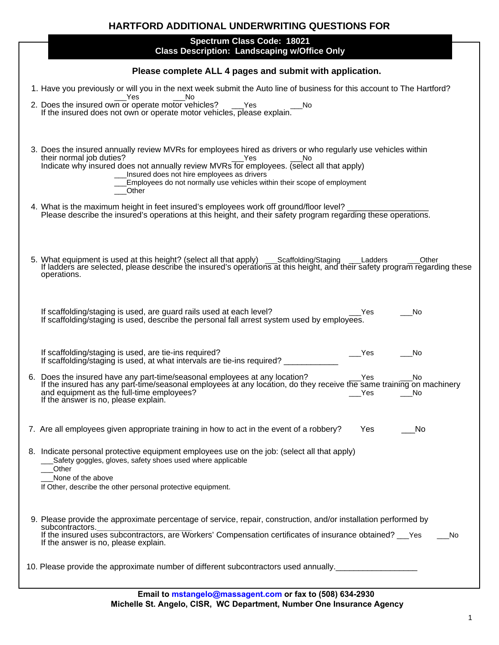## **HARTFORD ADDITIONAL UNDERWRITING QUESTIONS FOR**

| Spectrum Class Code: 18021                                                                                                                                                                                                                                                                                                                                                            |    |
|---------------------------------------------------------------------------------------------------------------------------------------------------------------------------------------------------------------------------------------------------------------------------------------------------------------------------------------------------------------------------------------|----|
| <b>Class Description: Landscaping w/Office Only</b>                                                                                                                                                                                                                                                                                                                                   |    |
| Please complete ALL 4 pages and submit with application.                                                                                                                                                                                                                                                                                                                              |    |
| 1. Have you previously or will you in the next week submit the Auto line of business for this account to The Hartford?<br>Yes<br>in the No                                                                                                                                                                                                                                            |    |
| 2. Does the insured own or operate motor vehicles? ____ Yes<br>$\sqrt{N}$<br>If the insured does not own or operate motor vehicles, please explain.                                                                                                                                                                                                                                   |    |
| 3. Does the insured annually review MVRs for employees hired as drivers or who regularly use vehicles within<br>their normal job duties?<br>Yes<br>No.<br>Indicate why insured does not annually review MVRs for employees. (select all that apply)<br>Insured does not hire employees as drivers<br>Employees do not normally use vehicles within their scope of employment<br>Other |    |
| 4. What is the maximum height in feet insured's employees work off ground/floor level?<br>Please describe the insured's operations at this height, and their safety program regarding these operations.                                                                                                                                                                               |    |
| 5. What equipment is used at this height? (select all that apply) ___Scaffolding/Staging ___Ladders ____Other<br>If ladders are selected, please describe the insured's operations at this height, and their safety program regar<br>operations.                                                                                                                                      |    |
| If scaffolding/staging is used, are guard rails used at each level?<br>Yes<br>No<br>If scaffolding/staging is used, describe the personal fall arrest system used by employees.                                                                                                                                                                                                       |    |
| If scaffolding/staging is used, are tie-ins required?<br>Yes<br>No<br>If scaffolding/staging is used, at what intervals are tie-ins required?                                                                                                                                                                                                                                         |    |
| 6. Does the insured have any part-time/seasonal employees at any location? For example the insured has any part-time/seasonal employees at any location, do they receive the same training on machinery<br>and equipment as the full-time employees?<br>$\sqrt{N}$<br>Yes<br>If the answer is no, please explain.                                                                     |    |
| 7. Are all employees given appropriate training in how to act in the event of a robbery?<br>Yes<br><b>No</b>                                                                                                                                                                                                                                                                          |    |
| 8. Indicate personal protective equipment employees use on the job: (select all that apply)<br>Safety goggles, gloves, safety shoes used where applicable<br>Other<br>None of the above<br>If Other, describe the other personal protective equipment.                                                                                                                                |    |
| 9. Please provide the approximate percentage of service, repair, construction, and/or installation performed by<br>subcontractors.<br>If the insured uses subcontractors, are Workers' Compensation certificates of insurance obtained? ___ Yes<br>If the answer is no, please explain.                                                                                               | No |
| 10. Please provide the approximate number of different subcontractors used annually. _______________                                                                                                                                                                                                                                                                                  |    |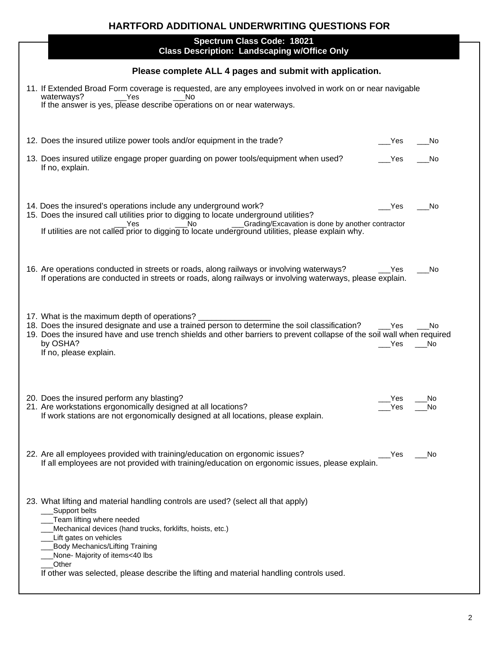## **HARTFORD ADDITIONAL UNDERWRITING QUESTIONS FOR**

|                                                          | Spectrum Class Code: 18021<br><b>Class Description: Landscaping w/Office Only</b>                                                                                                                                                                                                                                                                                                                       |              |             |  |  |
|----------------------------------------------------------|---------------------------------------------------------------------------------------------------------------------------------------------------------------------------------------------------------------------------------------------------------------------------------------------------------------------------------------------------------------------------------------------------------|--------------|-------------|--|--|
| Please complete ALL 4 pages and submit with application. |                                                                                                                                                                                                                                                                                                                                                                                                         |              |             |  |  |
|                                                          | 11. If Extended Broad Form coverage is requested, are any employees involved in work on or near navigable<br>waterways?<br>Yes<br>$\sim$ No<br>If the answer is yes, please describe operations on or near waterways.                                                                                                                                                                                   |              |             |  |  |
|                                                          | 12. Does the insured utilize power tools and/or equipment in the trade?                                                                                                                                                                                                                                                                                                                                 | Yes          | No          |  |  |
|                                                          | 13. Does insured utilize engage proper guarding on power tools/equipment when used?<br>If no, explain.                                                                                                                                                                                                                                                                                                  | Yes          | No          |  |  |
|                                                          | 14. Does the insured's operations include any underground work?<br>15. Does the insured call utilities prior to digging to locate underground utilities?<br>__Grading/Excavation is done by another contractor<br><b>No</b><br>Yes<br>If utilities are not called prior to digging to locate underground utilities, please explain why.                                                                 | __Yes        | No          |  |  |
|                                                          | 16. Are operations conducted in streets or roads, along railways or involving waterways?<br>If operations are conducted in streets or roads, along railways or involving waterways, please explain.                                                                                                                                                                                                     | Yes          | No          |  |  |
|                                                          | 17. What is the maximum depth of operations? _____<br>18. Does the insured designate and use a trained person to determine the soil classification?<br>19. Does the insured have and use trench shields and other barriers to prevent collapse of the soil wall when required<br>by OSHA?<br>If no, please explain.                                                                                     | Yes<br>Yes   | No.<br>- No |  |  |
|                                                          | 20. Does the insured perform any blasting?<br>21. Are workstations ergonomically designed at all locations?<br>If work stations are not ergonomically designed at all locations, please explain.                                                                                                                                                                                                        | Yes_<br>_Yes | No<br>No    |  |  |
|                                                          | 22. Are all employees provided with training/education on ergonomic issues?<br>If all employees are not provided with training/education on ergonomic issues, please explain.                                                                                                                                                                                                                           | $\_$ Yes     | No No       |  |  |
|                                                          | 23. What lifting and material handling controls are used? (select all that apply)<br>Support belts<br>_Team lifting where needed<br>Mechanical devices (hand trucks, forklifts, hoists, etc.)<br>Lift gates on vehicles<br><b>Body Mechanics/Lifting Training</b><br>None- Majority of items<40 lbs<br>Other<br>If other was selected, please describe the lifting and material handling controls used. |              |             |  |  |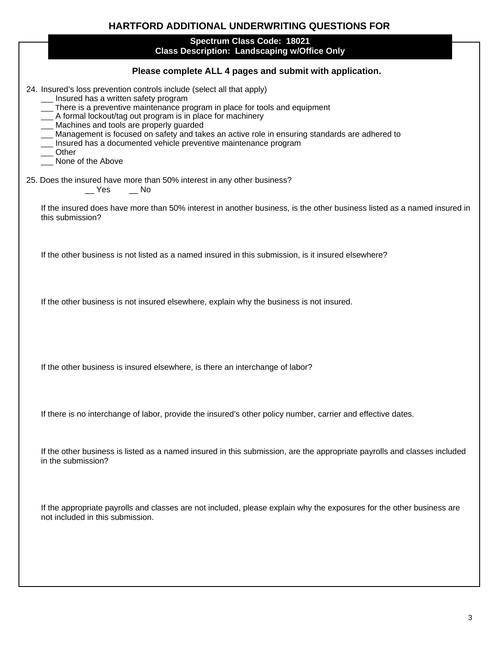| <b>HARTFORD ADDITIONAL UNDERWRITING QUESTIONS FOR</b>                                                                                                                                                                                                                                                                                                                                                                                                                                                                    |  |  |  |  |
|--------------------------------------------------------------------------------------------------------------------------------------------------------------------------------------------------------------------------------------------------------------------------------------------------------------------------------------------------------------------------------------------------------------------------------------------------------------------------------------------------------------------------|--|--|--|--|
| Spectrum Class Code: 18021<br><b>Class Description: Landscaping w/Office Only</b>                                                                                                                                                                                                                                                                                                                                                                                                                                        |  |  |  |  |
| Please complete ALL 4 pages and submit with application.                                                                                                                                                                                                                                                                                                                                                                                                                                                                 |  |  |  |  |
| 24. Insured's loss prevention controls include (select all that apply)<br>__ Insured has a written safety program<br>__ There is a preventive maintenance program in place for tools and equipment<br>__ A formal lockout/tag out program is in place for machinery<br>__ Machines and tools are properly guarded<br>__ Management is focused on safety and takes an active role in ensuring standards are adhered to<br>_ Insured has a documented vehicle preventive maintenance program<br>Other<br>None of the Above |  |  |  |  |
| 25. Does the insured have more than 50% interest in any other business?<br>Yes<br>$\overline{\phantom{a}}$ No                                                                                                                                                                                                                                                                                                                                                                                                            |  |  |  |  |
| If the insured does have more than 50% interest in another business, is the other business listed as a named insured in<br>this submission?                                                                                                                                                                                                                                                                                                                                                                              |  |  |  |  |
| If the other business is not listed as a named insured in this submission, is it insured elsewhere?                                                                                                                                                                                                                                                                                                                                                                                                                      |  |  |  |  |
| If the other business is not insured elsewhere, explain why the business is not insured.                                                                                                                                                                                                                                                                                                                                                                                                                                 |  |  |  |  |
| If the other business is insured elsewhere, is there an interchange of labor?                                                                                                                                                                                                                                                                                                                                                                                                                                            |  |  |  |  |
| If there is no interchange of labor, provide the insured's other policy number, carrier and effective dates.                                                                                                                                                                                                                                                                                                                                                                                                             |  |  |  |  |
| If the other business is listed as a named insured in this submission, are the appropriate payrolls and classes included<br>in the submission?                                                                                                                                                                                                                                                                                                                                                                           |  |  |  |  |
| If the appropriate payrolls and classes are not included, please explain why the exposures for the other business are<br>not included in this submission.                                                                                                                                                                                                                                                                                                                                                                |  |  |  |  |
|                                                                                                                                                                                                                                                                                                                                                                                                                                                                                                                          |  |  |  |  |